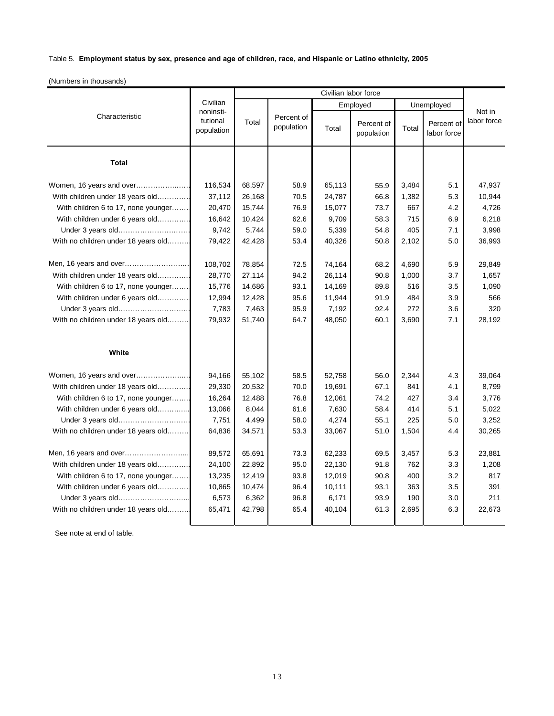## Table 5. **Employment status by sex, presence and age of children, race, and Hispanic or Latino ethnicity, 2005**

(Numbers in thousands)

|                                     | Civilian<br>noninsti-<br>tutional<br>population | Civilian labor force |                          |          |                          |            |                           |                       |
|-------------------------------------|-------------------------------------------------|----------------------|--------------------------|----------|--------------------------|------------|---------------------------|-----------------------|
| Characteristic                      |                                                 | Total                |                          | Employed |                          | Unemployed |                           |                       |
|                                     |                                                 |                      | Percent of<br>population | Total    | Percent of<br>population | Total      | Percent of<br>labor force | Not in<br>labor force |
| <b>Total</b>                        |                                                 |                      |                          |          |                          |            |                           |                       |
| Women, 16 years and over            | 116,534                                         | 68,597               | 58.9                     | 65,113   | 55.9                     | 3,484      | 5.1                       | 47,937                |
| With children under 18 years old    | 37,112                                          | 26,168               | 70.5                     | 24,787   | 66.8                     | 1,382      | 5.3                       | 10,944                |
| With children 6 to 17, none younger | 20,470                                          | 15,744               | 76.9                     | 15,077   | 73.7                     | 667        | 4.2                       | 4.726                 |
| With children under 6 years old     | 16,642                                          | 10,424               | 62.6                     | 9,709    | 58.3                     | 715        | 6.9                       | 6,218                 |
| Under 3 years old                   | 9,742                                           | 5,744                | 59.0                     | 5,339    | 54.8                     | 405        | 7.1                       | 3,998                 |
| With no children under 18 years old | 79,422                                          | 42,428               | 53.4                     | 40,326   | 50.8                     | 2,102      | 5.0                       | 36,993                |
|                                     |                                                 |                      |                          |          |                          |            |                           |                       |
|                                     | 108,702                                         | 78,854               | 72.5                     | 74,164   | 68.2                     | 4,690      | 5.9                       | 29,849                |
| With children under 18 years old    | 28,770                                          | 27,114               | 94.2                     | 26,114   | 90.8                     | 1,000      | 3.7                       | 1,657                 |
| With children 6 to 17, none younger | 15,776                                          | 14,686               | 93.1                     | 14,169   | 89.8                     | 516        | 3.5                       | 1,090                 |
| With children under 6 years old     | 12,994                                          | 12,428               | 95.6                     | 11,944   | 91.9                     | 484        | 3.9                       | 566                   |
| Under 3 years old                   | 7,783                                           | 7,463                | 95.9                     | 7,192    | 92.4                     | 272        | 3.6                       | 320                   |
| With no children under 18 years old | 79,932                                          | 51,740               | 64.7                     | 48,050   | 60.1                     | 3,690      | 7.1                       | 28,192                |
|                                     |                                                 |                      |                          |          |                          |            |                           |                       |
| White                               |                                                 |                      |                          |          |                          |            |                           |                       |
| Women, 16 years and over            | 94,166                                          | 55,102               | 58.5                     | 52,758   | 56.0                     | 2,344      | 4.3                       | 39,064                |
| With children under 18 years old    | 29,330                                          | 20,532               | 70.0                     | 19,691   | 67.1                     | 841        | 4.1                       | 8,799                 |
| With children 6 to 17, none younger | 16,264                                          | 12,488               | 76.8                     | 12,061   | 74.2                     | 427        | 3.4                       | 3,776                 |
| With children under 6 years old     | 13,066                                          | 8,044                | 61.6                     | 7,630    | 58.4                     | 414        | 5.1                       | 5,022                 |
| Under 3 years old                   | 7,751                                           | 4,499                | 58.0                     | 4,274    | 55.1                     | 225        | 5.0                       | 3,252                 |
| With no children under 18 years old | 64,836                                          | 34,571               | 53.3                     | 33,067   | 51.0                     | 1,504      | 4.4                       | 30,265                |
|                                     |                                                 |                      |                          |          |                          |            |                           |                       |
|                                     | 89,572                                          | 65,691               | 73.3                     | 62,233   | 69.5                     | 3,457      | 5.3                       | 23,881                |
| With children under 18 years old    | 24,100                                          | 22,892               | 95.0                     | 22,130   | 91.8                     | 762        | 3.3                       | 1,208                 |
| With children 6 to 17, none younger | 13,235                                          | 12,419               | 93.8                     | 12,019   | 90.8                     | 400        | 3.2                       | 817                   |
| With children under 6 years old     | 10,865                                          | 10,474               | 96.4                     | 10,111   | 93.1                     | 363        | 3.5                       | 391                   |
|                                     | 6,573                                           | 6,362                | 96.8                     | 6,171    | 93.9                     | 190        | 3.0                       | 211                   |
| With no children under 18 years old | 65,471                                          | 42,798               | 65.4                     | 40,104   | 61.3                     | 2,695      | 6.3                       | 22,673                |
|                                     |                                                 |                      |                          |          |                          |            |                           |                       |

See note at end of table.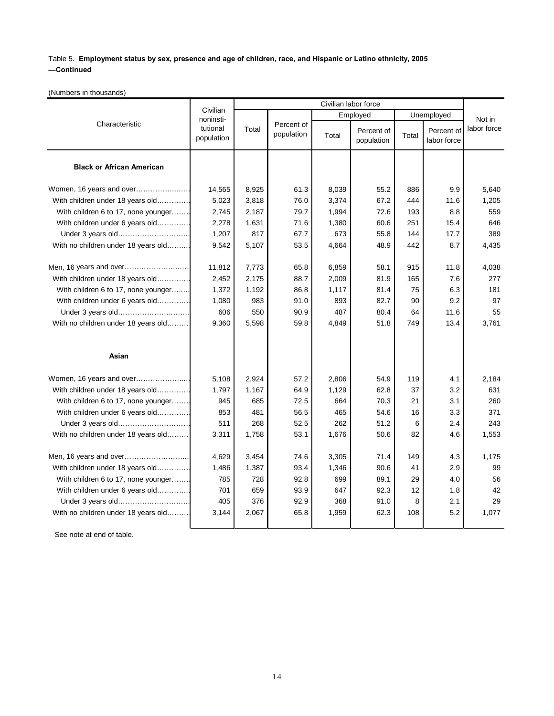## Table 5. **Employment status by sex, presence and age of children, race, and Hispanic or Latino ethnicity, 2005 —Continued**

(Numbers in thousands)

| Characteristic                      | Civilian<br>noninsti-<br>tutional<br>population | Civilian labor force |                          |          |                          |            |                           |             |
|-------------------------------------|-------------------------------------------------|----------------------|--------------------------|----------|--------------------------|------------|---------------------------|-------------|
|                                     |                                                 | Total                | Percent of<br>population | Employed |                          | Unemployed |                           | Not in      |
|                                     |                                                 |                      |                          | Total    | Percent of<br>population | Total      | Percent of<br>labor force | labor force |
| <b>Black or African American</b>    |                                                 |                      |                          |          |                          |            |                           |             |
| Women, 16 years and over            | 14,565                                          | 8,925                | 61.3                     | 8,039    | 55.2                     | 886        | 9.9                       | 5,640       |
| With children under 18 years old    | 5,023                                           | 3,818                | 76.0                     | 3,374    | 67.2                     | 444        | 11.6                      | 1,205       |
| With children 6 to 17, none younger | 2,745                                           | 2,187                | 79.7                     | 1,994    | 72.6                     | 193        | 8.8                       | 559         |
| With children under 6 years old     | 2,278                                           | 1,631                | 71.6                     | 1,380    | 60.6                     | 251        | 15.4                      | 646         |
| Under 3 years old                   | 1,207                                           | 817                  | 67.7                     | 673      | 55.8                     | 144        | 17.7                      | 389         |
| With no children under 18 years old | 9,542                                           | 5,107                | 53.5                     | 4,664    | 48.9                     | 442        | 8.7                       | 4,435       |
| Men, 16 years and over              | 11,812                                          | 7,773                | 65.8                     | 6,859    | 58.1                     | 915        | 11.8                      | 4,038       |
| With children under 18 years old    | 2,452                                           | 2,175                | 88.7                     | 2,009    | 81.9                     | 165        | 7.6                       | 277         |
| With children 6 to 17, none younger | 1,372                                           | 1,192                | 86.8                     | 1,117    | 81.4                     | 75         | 6.3                       | 181         |
| With children under 6 years old     | 1,080                                           | 983                  | 91.0                     | 893      | 82.7                     | 90         | 9.2                       | 97          |
| Under 3 years old                   | 606                                             | 550                  | 90.9                     | 487      | 80.4                     | 64         | 11.6                      | 55          |
| With no children under 18 years old | 9,360                                           | 5,598                | 59.8                     | 4,849    | 51.8                     | 749        | 13.4                      | 3,761       |
| Asian                               |                                                 |                      |                          |          |                          |            |                           |             |
| Women, 16 years and over            | 5,108                                           | 2,924                | 57.2                     | 2,806    | 54.9                     | 119        | 4.1                       | 2,184       |
| With children under 18 years old    | 1,797                                           | 1,167                | 64.9                     | 1,129    | 62.8                     | 37         | 3.2                       | 631         |
| With children 6 to 17, none younger | 945                                             | 685                  | 72.5                     | 664      | 70.3                     | 21         | 3.1                       | 260         |
| With children under 6 years old     | 853                                             | 481                  | 56.5                     | 465      | 54.6                     | 16         | 3.3                       | 371         |
| Under 3 years old                   | 511                                             | 268                  | 52.5                     | 262      | 51.2                     | 6          | 2.4                       | 243         |
| With no children under 18 years old | 3,311                                           | 1,758                | 53.1                     | 1,676    | 50.6                     | 82         | 4.6                       | 1,553       |
| Men, 16 years and over              | 4,629                                           | 3,454                | 74.6                     | 3,305    | 71.4                     | 149        | 4.3                       | 1,175       |
| With children under 18 years old    | 1,486                                           | 1,387                | 93.4                     | 1,346    | 90.6                     | 41         | 2.9                       | 99          |
| With children 6 to 17, none younger | 785                                             | 728                  | 92.8                     | 699      | 89.1                     | 29         | 4.0                       | 56          |
| With children under 6 years old     | 701                                             | 659                  | 93.9                     | 647      | 92.3                     | 12         | 1.8                       | 42          |
| Under 3 years old                   | 405                                             | 376                  | 92.9                     | 368      | 91.0                     | 8          | 2.1                       | 29          |
| With no children under 18 years old | 3,144                                           | 2,067                | 65.8                     | 1,959    | 62.3                     | 108        | 5.2                       | 1,077       |
|                                     |                                                 |                      |                          |          |                          |            |                           |             |

See note at end of table.